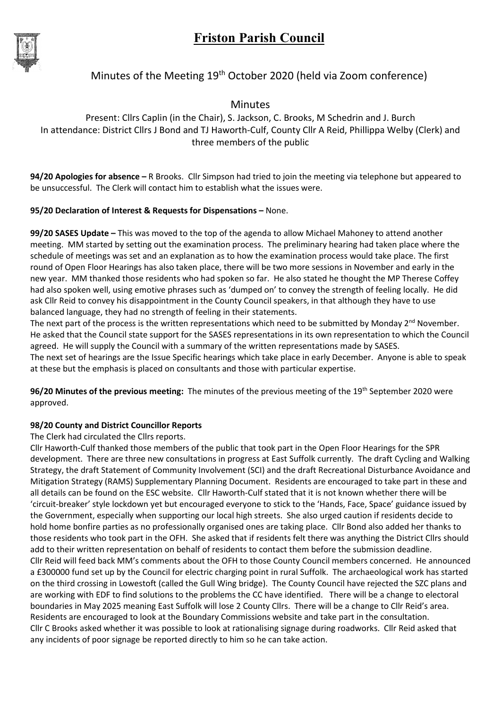

### Minutes of the Meeting 19<sup>th</sup> October 2020 (held via Zoom conference)

Minutes

Present: Cllrs Caplin (in the Chair), S. Jackson, C. Brooks, M Schedrin and J. Burch In attendance: District Cllrs J Bond and TJ Haworth-Culf, County Cllr A Reid, Phillippa Welby (Clerk) and three members of the public

94/20 Apologies for absence – R Brooks. Cllr Simpson had tried to join the meeting via telephone but appeared to be unsuccessful. The Clerk will contact him to establish what the issues were.

### 95/20 Declaration of Interest & Requests for Dispensations – None.

99/20 SASES Update – This was moved to the top of the agenda to allow Michael Mahoney to attend another meeting. MM started by setting out the examination process. The preliminary hearing had taken place where the schedule of meetings was set and an explanation as to how the examination process would take place. The first round of Open Floor Hearings has also taken place, there will be two more sessions in November and early in the new year. MM thanked those residents who had spoken so far. He also stated he thought the MP Therese Coffey had also spoken well, using emotive phrases such as 'dumped on' to convey the strength of feeling locally. He did ask Cllr Reid to convey his disappointment in the County Council speakers, in that although they have to use balanced language, they had no strength of feeling in their statements.

The next part of the process is the written representations which need to be submitted by Monday 2<sup>nd</sup> November. He asked that the Council state support for the SASES representations in its own representation to which the Council agreed. He will supply the Council with a summary of the written representations made by SASES. The next set of hearings are the Issue Specific hearings which take place in early December. Anyone is able to speak at these but the emphasis is placed on consultants and those with particular expertise.

96/20 Minutes of the previous meeting: The minutes of the previous meeting of the 19<sup>th</sup> September 2020 were approved.

### 98/20 County and District Councillor Reports

The Clerk had circulated the Cllrs reports.

Cllr Haworth-Culf thanked those members of the public that took part in the Open Floor Hearings for the SPR development. There are three new consultations in progress at East Suffolk currently. The draft Cycling and Walking Strategy, the draft Statement of Community Involvement (SCI) and the draft Recreational Disturbance Avoidance and Mitigation Strategy (RAMS) Supplementary Planning Document. Residents are encouraged to take part in these and all details can be found on the ESC website. Cllr Haworth-Culf stated that it is not known whether there will be 'circuit-breaker' style lockdown yet but encouraged everyone to stick to the 'Hands, Face, Space' guidance issued by the Government, especially when supporting our local high streets. She also urged caution if residents decide to hold home bonfire parties as no professionally organised ones are taking place. Cllr Bond also added her thanks to those residents who took part in the OFH. She asked that if residents felt there was anything the District Cllrs should add to their written representation on behalf of residents to contact them before the submission deadline. Cllr Reid will feed back MM's comments about the OFH to those County Council members concerned. He announced a £300000 fund set up by the Council for electric charging point in rural Suffolk. The archaeological work has started on the third crossing in Lowestoft (called the Gull Wing bridge). The County Council have rejected the SZC plans and are working with EDF to find solutions to the problems the CC have identified. There will be a change to electoral boundaries in May 2025 meaning East Suffolk will lose 2 County Cllrs. There will be a change to Cllr Reid's area. Residents are encouraged to look at the Boundary Commissions website and take part in the consultation. Cllr C Brooks asked whether it was possible to look at rationalising signage during roadworks. Cllr Reid asked that any incidents of poor signage be reported directly to him so he can take action.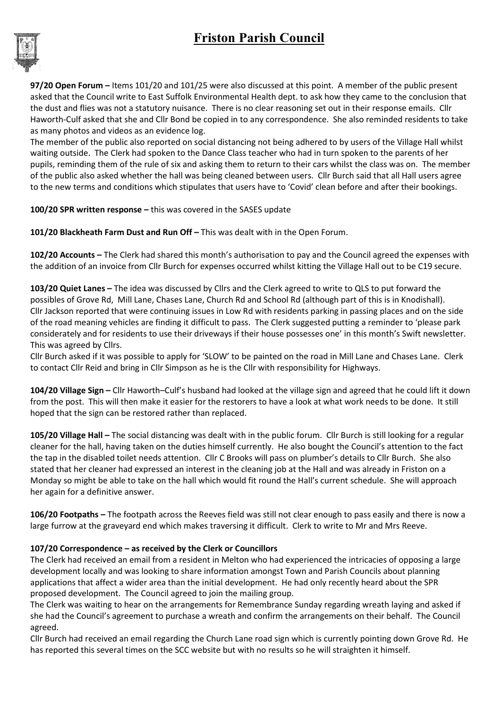## Friston Parish Council



97/20 Open Forum – Items 101/20 and 101/25 were also discussed at this point. A member of the public present asked that the Council write to East Suffolk Environmental Health dept. to ask how they came to the conclusion that the dust and flies was not a statutory nuisance. There is no clear reasoning set out in their response emails. Cllr Haworth-Culf asked that she and Cllr Bond be copied in to any correspondence. She also reminded residents to take as many photos and videos as an evidence log.

The member of the public also reported on social distancing not being adhered to by users of the Village Hall whilst waiting outside. The Clerk had spoken to the Dance Class teacher who had in turn spoken to the parents of her pupils, reminding them of the rule of six and asking them to return to their cars whilst the class was on. The member of the public also asked whether the hall was being cleaned between users. Cllr Burch said that all Hall users agree to the new terms and conditions which stipulates that users have to 'Covid' clean before and after their bookings.

100/20 SPR written response – this was covered in the SASES update

101/20 Blackheath Farm Dust and Run Off – This was dealt with in the Open Forum.

102/20 Accounts – The Clerk had shared this month's authorisation to pay and the Council agreed the expenses with the addition of an invoice from Cllr Burch for expenses occurred whilst kitting the Village Hall out to be C19 secure.

103/20 Quiet Lanes – The idea was discussed by Cllrs and the Clerk agreed to write to QLS to put forward the possibles of Grove Rd, Mill Lane, Chases Lane, Church Rd and School Rd (although part of this is in Knodishall). Cllr Jackson reported that were continuing issues in Low Rd with residents parking in passing places and on the side of the road meaning vehicles are finding it difficult to pass. The Clerk suggested putting a reminder to 'please park considerately and for residents to use their driveways if their house possesses one' in this month's Swift newsletter. This was agreed by Cllrs.

Cllr Burch asked if it was possible to apply for 'SLOW' to be painted on the road in Mill Lane and Chases Lane. Clerk to contact Cllr Reid and bring in Cllr Simpson as he is the Cllr with responsibility for Highways.

104/20 Village Sign – Cllr Haworth–Culf's husband had looked at the village sign and agreed that he could lift it down from the post. This will then make it easier for the restorers to have a look at what work needs to be done. It still hoped that the sign can be restored rather than replaced.

105/20 Village Hall – The social distancing was dealt with in the public forum. Cllr Burch is still looking for a regular cleaner for the hall, having taken on the duties himself currently. He also bought the Council's attention to the fact the tap in the disabled toilet needs attention. Cllr C Brooks will pass on plumber's details to Cllr Burch. She also stated that her cleaner had expressed an interest in the cleaning job at the Hall and was already in Friston on a Monday so might be able to take on the hall which would fit round the Hall's current schedule. She will approach her again for a definitive answer.

106/20 Footpaths – The footpath across the Reeves field was still not clear enough to pass easily and there is now a large furrow at the graveyard end which makes traversing it difficult. Clerk to write to Mr and Mrs Reeve.

### 107/20 Correspondence – as received by the Clerk or Councillors

The Clerk had received an email from a resident in Melton who had experienced the intricacies of opposing a large development locally and was looking to share information amongst Town and Parish Councils about planning applications that affect a wider area than the initial development. He had only recently heard about the SPR proposed development. The Council agreed to join the mailing group.

The Clerk was waiting to hear on the arrangements for Remembrance Sunday regarding wreath laying and asked if she had the Council's agreement to purchase a wreath and confirm the arrangements on their behalf. The Council agreed.

Cllr Burch had received an email regarding the Church Lane road sign which is currently pointing down Grove Rd. He has reported this several times on the SCC website but with no results so he will straighten it himself.